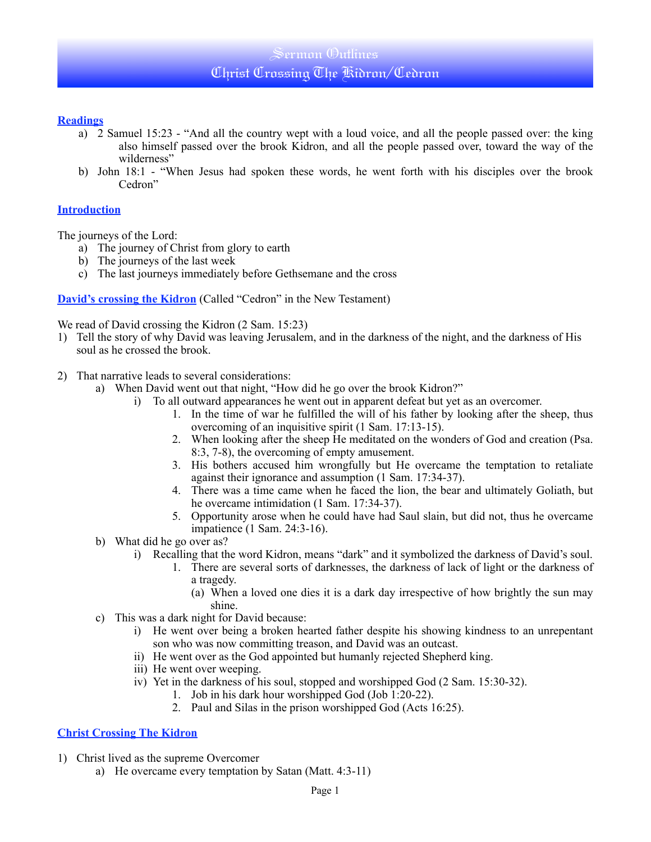# Sermon Outlines Christ Crossing The Kidron/Cedron

### **Readings**

- a) 2 Samuel 15:23 "And all the country wept with a loud voice, and all the people passed over: the king also himself passed over the brook Kidron, and all the people passed over, toward the way of the wilderness"
- b) John 18:1 "When Jesus had spoken these words, he went forth with his disciples over the brook Cedron"

#### **Introduction**

The journeys of the Lord:

- a) The journey of Christ from glory to earth
- b) The journeys of the last week
- c) The last journeys immediately before Gethsemane and the cross

**David's crossing the Kidron** (Called "Cedron" in the New Testament)

We read of David crossing the Kidron (2 Sam. 15:23)

- 1) Tell the story of why David was leaving Jerusalem, and in the darkness of the night, and the darkness of His soul as he crossed the brook.
- 2) That narrative leads to several considerations:
	- a) When David went out that night, "How did he go over the brook Kidron?"
		- i) To all outward appearances he went out in apparent defeat but yet as an overcomer.
			- 1. In the time of war he fulfilled the will of his father by looking after the sheep, thus overcoming of an inquisitive spirit (1 Sam. 17:13-15).
			- 2. When looking after the sheep He meditated on the wonders of God and creation (Psa. 8:3, 7-8), the overcoming of empty amusement.
			- 3. His bothers accused him wrongfully but He overcame the temptation to retaliate against their ignorance and assumption (1 Sam. 17:34-37).
			- 4. There was a time came when he faced the lion, the bear and ultimately Goliath, but he overcame intimidation (1 Sam. 17:34-37).
			- 5. Opportunity arose when he could have had Saul slain, but did not, thus he overcame impatience (1 Sam. 24:3-16).
	- b) What did he go over as?
		- i) Recalling that the word Kidron, means "dark" and it symbolized the darkness of David's soul.
			- 1. There are several sorts of darknesses, the darkness of lack of light or the darkness of a tragedy.
				- (a) When a loved one dies it is a dark day irrespective of how brightly the sun may shine.
	- c) This was a dark night for David because:
		- i) He went over being a broken hearted father despite his showing kindness to an unrepentant son who was now committing treason, and David was an outcast.
		- ii) He went over as the God appointed but humanly rejected Shepherd king.
		- iii) He went over weeping.
		- iv) Yet in the darkness of his soul, stopped and worshipped God (2 Sam. 15:30-32).
			- 1. Job in his dark hour worshipped God (Job  $1:20-22$ ).
				- 2. Paul and Silas in the prison worshipped God (Acts 16:25).

# **Christ Crossing The Kidron**

- 1) Christ lived as the supreme Overcomer
	- a) He overcame every temptation by Satan (Matt. 4:3-11)